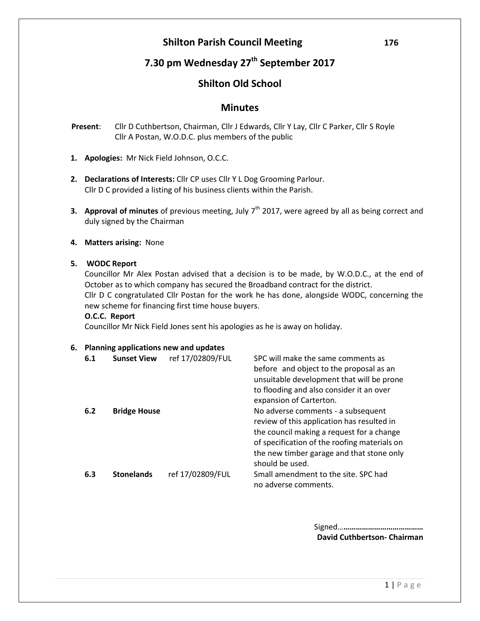# **Shilton Parish Council Meeting 176**

# **7.30 pm Wednesday 27th September 2017**

## **Shilton Old School**

## **Minutes**

- **Present**: Cllr D Cuthbertson, Chairman, Cllr J Edwards, Cllr Y Lay, Cllr C Parker, Cllr S Royle Cllr A Postan, W.O.D.C. plus members of the public
- **1. Apologies:** Mr Nick Field Johnson, O.C.C.
- **2. Declarations of Interests:** Cllr CP uses Cllr Y L Dog Grooming Parlour. Cllr D C provided a listing of his business clients within the Parish.
- **3. Approval of minutes** of previous meeting, July 7<sup>th</sup> 2017, were agreed by all as being correct and duly signed by the Chairman
- **4. Matters arising:** None

### **5. WODC Report**

Councillor Mr Alex Postan advised that a decision is to be made, by W.O.D.C., at the end of October as to which company has secured the Broadband contract for the district. Cllr D C congratulated Cllr Postan for the work he has done, alongside WODC, concerning the new scheme for financing first time house buyers.

#### **O.C.C. Report**

Councillor Mr Nick Field Jones sent his apologies as he is away on holiday.

#### **6. Planning applications new and updates**

| 6.1 | <b>Sunset View</b>  | ref 17/02809/FUL | SPC will make the same comments as<br>before and object to the proposal as an<br>unsuitable development that will be prone<br>to flooding and also consider it an over<br>expansion of Carterton.                                             |
|-----|---------------------|------------------|-----------------------------------------------------------------------------------------------------------------------------------------------------------------------------------------------------------------------------------------------|
| 6.2 | <b>Bridge House</b> |                  | No adverse comments - a subsequent<br>review of this application has resulted in<br>the council making a request for a change<br>of specification of the roofing materials on<br>the new timber garage and that stone only<br>should be used. |
| 6.3 | <b>Stonelands</b>   | ref 17/02809/FUL | Small amendment to the site. SPC had<br>no adverse comments.                                                                                                                                                                                  |

Signed…**………………………………… David Cuthbertson- Chairman**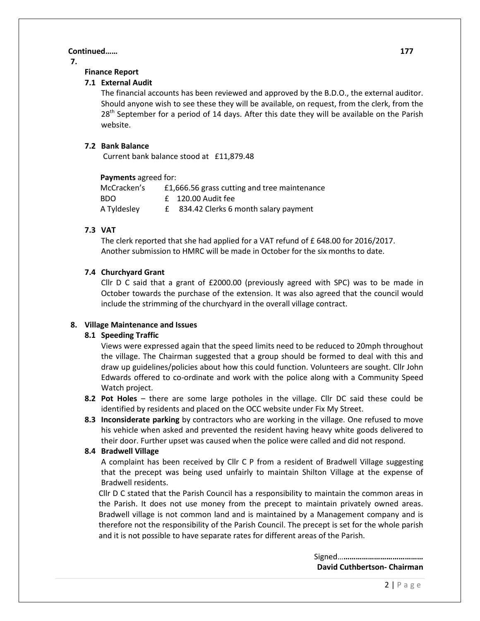#### **Continued…… 177**

**7.**

#### **Finance Report**

#### **7.1 External Audit**

The financial accounts has been reviewed and approved by the B.D.O., the external auditor. Should anyone wish to see these they will be available, on request, from the clerk, from the 28<sup>th</sup> September for a period of 14 days. After this date they will be available on the Parish website.

#### **7.2 Bank Balance**

Current bank balance stood at £11,879.48

| Payments agreed for: |  |                                              |  |  |
|----------------------|--|----------------------------------------------|--|--|
| McCracken's          |  | £1,666.56 grass cutting and tree maintenance |  |  |
| BDO.                 |  | $f$ 120.00 Audit fee                         |  |  |
| A Tyldesley          |  | 834.42 Clerks 6 month salary payment         |  |  |

#### **7.3 VAT**

The clerk reported that she had applied for a VAT refund of £ 648.00 for 2016/2017. Another submission to HMRC will be made in October for the six months to date.

#### **7.4 Churchyard Grant**

Cllr D C said that a grant of £2000.00 (previously agreed with SPC) was to be made in October towards the purchase of the extension. It was also agreed that the council would include the strimming of the churchyard in the overall village contract.

#### **8. Village Maintenance and Issues**

#### **8.1 Speeding Traffic**

Views were expressed again that the speed limits need to be reduced to 20mph throughout the village. The Chairman suggested that a group should be formed to deal with this and draw up guidelines/policies about how this could function. Volunteers are sought. Cllr John Edwards offered to co-ordinate and work with the police along with a Community Speed Watch project.

- **8.2 Pot Holes** there are some large potholes in the village. Cllr DC said these could be identified by residents and placed on the OCC website under Fix My Street.
- **8.3 Inconsiderate parking** by contractors who are working in the village. One refused to move his vehicle when asked and prevented the resident having heavy white goods delivered to their door. Further upset was caused when the police were called and did not respond.

#### **8.4 Bradwell Village**

A complaint has been received by Cllr C P from a resident of Bradwell Village suggesting that the precept was being used unfairly to maintain Shilton Village at the expense of Bradwell residents.

Cllr D C stated that the Parish Council has a responsibility to maintain the common areas in the Parish. It does not use money from the precept to maintain privately owned areas. Bradwell village is not common land and is maintained by a Management company and is therefore not the responsibility of the Parish Council. The precept is set for the whole parish and it is not possible to have separate rates for different areas of the Parish.

> Signed…**………………………………… David Cuthbertson- Chairman**